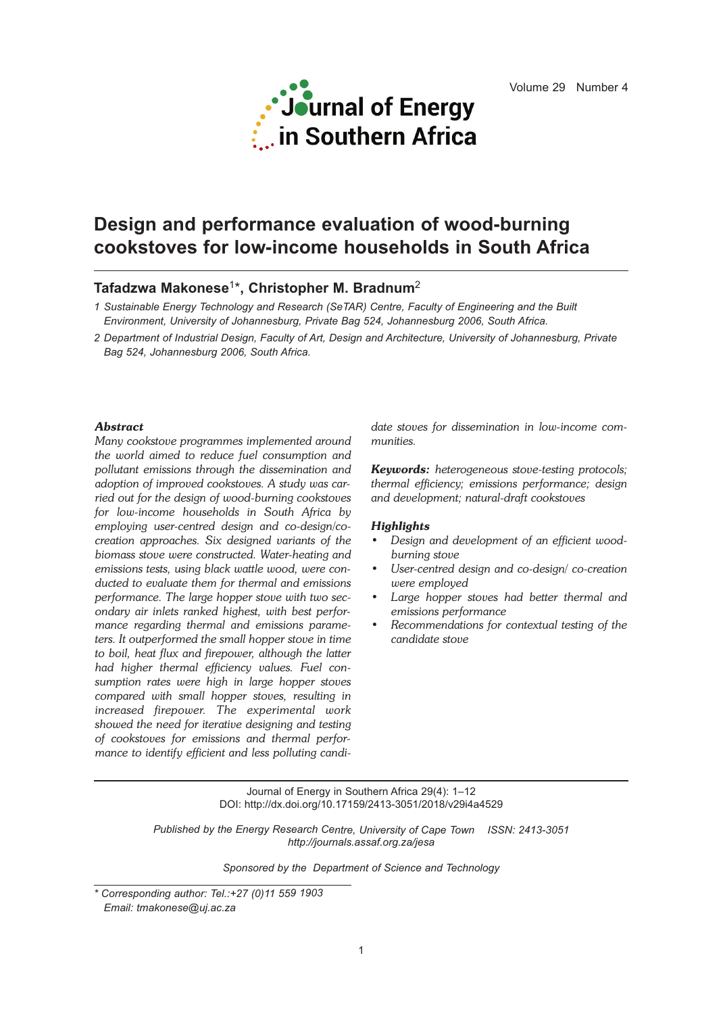

# **Design and performance evaluation of wood-burning cookstoves for low-income households in South Africa**

# **Tafadzwa Makonese**1\***, Christopher M. Bradnum**<sup>2</sup>

- *1 Sustainable Energy Technology and Research (SeTAR) Centre, Faculty of Engineering and the Built Environment, University of Johannesburg, Private Bag 524, Johannesburg 2006, South Africa.*
- *2 Department of Industrial Design, Faculty of Art, Design and Architecture, University of Johannesburg, Private Bag 524, Johannesburg 2006, South Africa.*

# *Abstract*

*Many cookstove programmes implemented around the world aimed to reduce fuel consumption and pollutant emissions through the dissemination and adoption of improved cookstoves. A study was carried out for the design of wood-burning cookstoves for low-income households in South Africa by employing user-centred design and co-design/cocreation approaches. Six designed variants of the biomass stove were constructed. Water-heating and emissions tests, using black wattle wood, were conducted to evaluate them for thermal and emissions performance. The large hopper stove with two secondary air inlets ranked highest, with best performance regarding thermal and emissions parameters. It outperformed the small hopper stove in time to boil, heat flux and firepower, although the latter had higher thermal efficiency values. Fuel consumption rates were high in large hopper stoves compared with small hopper stoves, resulting in increased firepower. The experimental work showed the need for iterative designing and testing of cookstoves for emissions and thermal performance to identify efficient and less polluting candi-* *date stoves for dissemination in low-income communities.*

*Keywords: heterogeneous stove-testing protocols; thermal efficiency; emissions performance; design and development; natural-draft cookstoves*

#### *Highlights*

- *• Design and development of an efficient woodburning stove*
- *• User-centred design and co-design/ co-creation were employed*
- *• Large hopper stoves had better thermal and emissions performance*
- *• Recommendations for contextual testing of the candidate stove*

Journal of Energy in Southern Africa 29(4): 1–12 DOI: http://dx.doi.org/10.17159/2413-3051/2018/v29i4a4529

*Published by the Energy Research Centre, University of Cape Town ISSN: 2413-3051 http://journals.assaf.org.za/jesa*

*Sponsored by the Department of Science and Technology*

*<sup>\*</sup> Corresponding author: Tel.:+27 (0)11 559 1903 Email: tmakonese@uj.ac.za*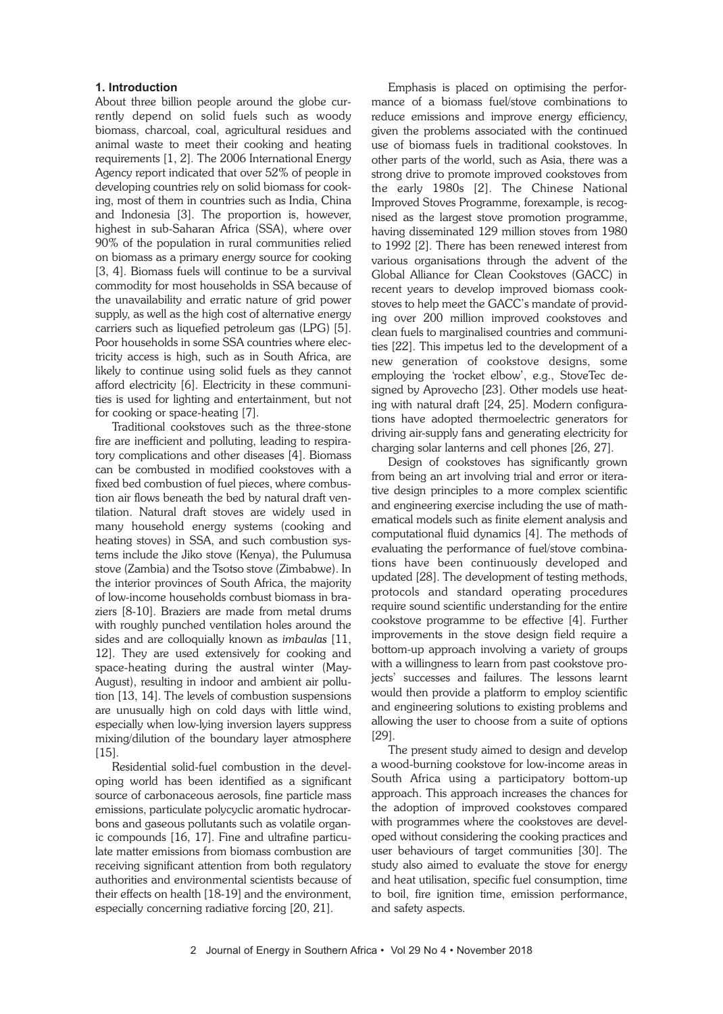# **1. Introduction**

About three billion people around the globe currently depend on solid fuels such as woody biomass, charcoal, coal, agricultural residues and animal waste to meet their cooking and heating requirements [1, 2]. The 2006 International Energy Agency report indicated that over 52% of people in developing countries rely on solid biomass for cooking, most of them in countries such as India, China and Indonesia [3]. The proportion is, however, highest in sub-Saharan Africa (SSA), where over 90% of the population in rural communities relied on biomass as a primary energy source for cooking [3, 4]. Biomass fuels will continue to be a survival commodity for most households in SSA because of the unavailability and erratic nature of grid power supply, as well as the high cost of alternative energy carriers such as liquefied petroleum gas (LPG) [5]. Poor households in some SSA countries where electricity access is high, such as in South Africa, are likely to continue using solid fuels as they cannot afford electricity [6]. Electricity in these communities is used for lighting and entertainment, but not for cooking or space-heating [7].

Traditional cookstoves such as the three-stone fire are inefficient and polluting, leading to respiratory complications and other diseases [4]. Biomass can be combusted in modified cookstoves with a fixed bed combustion of fuel pieces, where combustion air flows beneath the bed by natural draft ventilation. Natural draft stoves are widely used in many household energy systems (cooking and heating stoves) in SSA, and such combustion systems include the Jiko stove (Kenya), the Pulumusa stove (Zambia) and the Tsotso stove (Zimbabwe). In the interior provinces of South Africa, the majority of low-income households combust biomass in braziers [8-10]. Braziers are made from metal drums with roughly punched ventilation holes around the sides and are colloquially known as *imbaulas* [11, 12]. They are used extensively for cooking and space-heating during the austral winter (May-August), resulting in indoor and ambient air pollution [13, 14]. The levels of combustion suspensions are unusually high on cold days with little wind, especially when low-lying inversion layers suppress mixing/dilution of the boundary layer atmosphere [15].

Residential solid-fuel combustion in the developing world has been identified as a significant source of carbonaceous aerosols, fine particle mass emissions, particulate polycyclic aromatic hydrocarbons and gaseous pollutants such as volatile organic compounds [16, 17]. Fine and ultrafine particulate matter emissions from biomass combustion are receiving significant attention from both regulatory authorities and environmental scientists because of their effects on health [18-19] and the environment, especially concerning radiative forcing [20, 21].

Emphasis is placed on optimising the performance of a biomass fuel/stove combinations to reduce emissions and improve energy efficiency, given the problems associated with the continued use of biomass fuels in traditional cookstoves. In other parts of the world, such as Asia, there was a strong drive to promote improved cookstoves from the early 1980s [2]. The Chinese National Improved Stoves Programme, forexample, is recognised as the largest stove promotion programme, having disseminated 129 million stoves from 1980 to 1992 [2]. There has been renewed interest from various organisations through the advent of the Global Alliance for Clean Cookstoves (GACC) in recent years to develop improved biomass cookstoves to help meet the GACC's mandate of providing over 200 million improved cookstoves and clean fuels to marginalised countries and communities [22]. This impetus led to the development of a new generation of cookstove designs, some employing the 'rocket elbow', e.g., StoveTec designed by Aprovecho [23]. Other models use heating with natural draft [24, 25]. Modern configurations have adopted thermoelectric generators for driving air-supply fans and generating electricity for charging solar lanterns and cell phones [26, 27].

Design of cookstoves has significantly grown from being an art involving trial and error or iterative design principles to a more complex scientific and engineering exercise including the use of mathematical models such as finite element analysis and computational fluid dynamics [4]. The methods of evaluating the performance of fuel/stove combinations have been continuously developed and updated [28]. The development of testing methods, protocols and standard operating procedures require sound scientific understanding for the entire cookstove programme to be effective [4]. Further improvements in the stove design field require a bottom-up approach involving a variety of groups with a willingness to learn from past cookstove projects' successes and failures. The lessons learnt would then provide a platform to employ scientific and engineering solutions to existing problems and allowing the user to choose from a suite of options [29].

The present study aimed to design and develop a wood-burning cookstove for low-income areas in South Africa using a participatory bottom-up approach. This approach increases the chances for the adoption of improved cookstoves compared with programmes where the cookstoves are developed without considering the cooking practices and user behaviours of target communities [30]. The study also aimed to evaluate the stove for energy and heat utilisation, specific fuel consumption, time to boil, fire ignition time, emission performance, and safety aspects.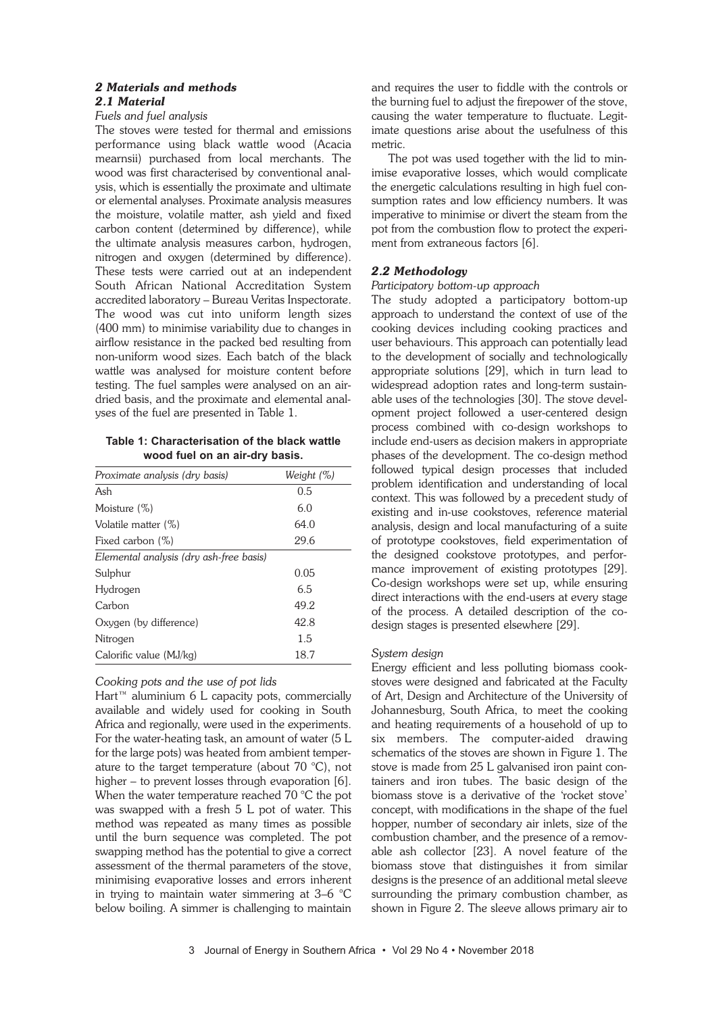# *2 Materials and methods 2.1 Material*

# *Fuels and fuel analysis*

The stoves were tested for thermal and emissions performance using black wattle wood (Acacia mearnsii) purchased from local merchants. The wood was first characterised by conventional analysis, which is essentially the proximate and ultimate or elemental analyses. Proximate analysis measures the moisture, volatile matter, ash yield and fixed carbon content (determined by difference), while the ultimate analysis measures carbon, hydrogen, nitrogen and oxygen (determined by difference). These tests were carried out at an independent South African National Accreditation System accredited laboratory – Bureau Veritas Inspectorate. The wood was cut into uniform length sizes (400 mm) to minimise variability due to changes in airflow resistance in the packed bed resulting from non-uniform wood sizes. Each batch of the black wattle was analysed for moisture content before testing. The fuel samples were analysed on an airdried basis, and the proximate and elemental analyses of the fuel are presented in Table 1.

**Table 1: Characterisation of the black wattle wood fuel on an air-dry basis.**

| Proximate analysis (dry basis)          | Weight (%) |  |  |  |  |
|-----------------------------------------|------------|--|--|--|--|
| Ash                                     | 0.5        |  |  |  |  |
| Moisture (%)                            | 6.0        |  |  |  |  |
| Volatile matter (%)                     | 64.0       |  |  |  |  |
| Fixed carbon (%)                        | 29.6       |  |  |  |  |
| Elemental analysis (dry ash-free basis) |            |  |  |  |  |
| Sulphur                                 | 0.05       |  |  |  |  |
| Hydrogen                                | 6.5        |  |  |  |  |
| Carbon                                  | 49.2       |  |  |  |  |
| Oxygen (by difference)                  | 42.8       |  |  |  |  |
| Nitrogen                                | 1.5        |  |  |  |  |
| Calorific value (MJ/kg)                 | 18.7       |  |  |  |  |

# *Cooking pots and the use of pot lids*

 $H$ art<sup>™</sup> aluminium 6 L capacity pots, commercially available and widely used for cooking in South Africa and regionally, were used in the experiments. For the water-heating task, an amount of water (5 L for the large pots) was heated from ambient temperature to the target temperature (about 70 °C), not higher – to prevent losses through evaporation [6]. When the water temperature reached 70 °C the pot was swapped with a fresh 5 L pot of water. This method was repeated as many times as possible until the burn sequence was completed. The pot swapping method has the potential to give a correct assessment of the thermal parameters of the stove, minimising evaporative losses and errors inherent in trying to maintain water simmering at 3–6 °C below boiling. A simmer is challenging to maintain

and requires the user to fiddle with the controls or the burning fuel to adjust the firepower of the stove, causing the water temperature to fluctuate. Legitimate questions arise about the usefulness of this metric.

The pot was used together with the lid to minimise evaporative losses, which would complicate the energetic calculations resulting in high fuel consumption rates and low efficiency numbers. It was imperative to minimise or divert the steam from the pot from the combustion flow to protect the experiment from extraneous factors [6].

# *2.2 Methodology*

# *Participatory bottom-up approach*

The study adopted a participatory bottom-up approach to understand the context of use of the cooking devices including cooking practices and user behaviours. This approach can potentially lead to the development of socially and technologically appropriate solutions [29], which in turn lead to widespread adoption rates and long-term sustainable uses of the technologies [30]. The stove development project followed a user-centered design process combined with co-design workshops to include end-users as decision makers in appropriate phases of the development. The co-design method followed typical design processes that included problem identification and understanding of local context. This was followed by a precedent study of existing and in-use cookstoves, reference material analysis, design and local manufacturing of a suite of prototype cookstoves, field experimentation of the designed cookstove prototypes, and performance improvement of existing prototypes [29]. Co-design workshops were set up, while ensuring direct interactions with the end-users at every stage of the process. A detailed description of the codesign stages is presented elsewhere [29].

# *System design*

Energy efficient and less polluting biomass cookstoves were designed and fabricated at the Faculty of Art, Design and Architecture of the University of Johannesburg, South Africa, to meet the cooking and heating requirements of a household of up to six members. The computer-aided drawing schematics of the stoves are shown in Figure 1. The stove is made from 25 L galvanised iron paint containers and iron tubes. The basic design of the biomass stove is a derivative of the 'rocket stove' concept, with modifications in the shape of the fuel hopper, number of secondary air inlets, size of the combustion chamber, and the presence of a removable ash collector [23]. A novel feature of the biomass stove that distinguishes it from similar designs is the presence of an additional metal sleeve surrounding the primary combustion chamber, as shown in Figure 2. The sleeve allows primary air to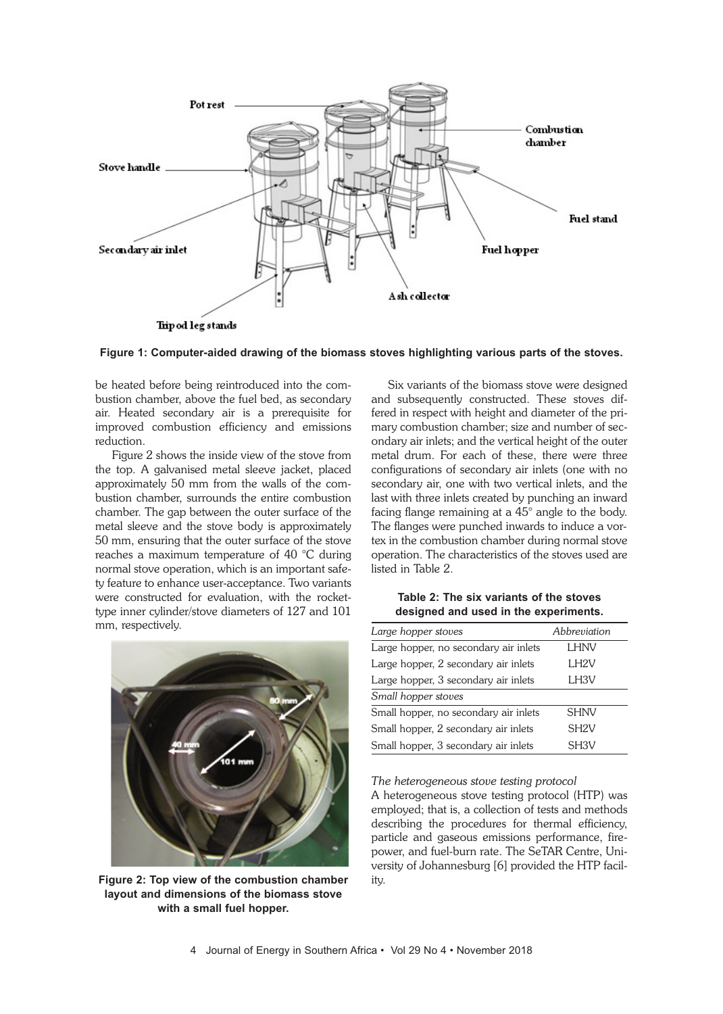

**Figure 1: Computer-aided drawing of the biomass stoves highlighting various parts of the stoves.**

be heated before being reintroduced into the combustion chamber, above the fuel bed, as secondary air. Heated secondary air is a prerequisite for improved combustion efficiency and emissions reduction.

Figure 2 shows the inside view of the stove from the top. A galvanised metal sleeve jacket, placed approximately 50 mm from the walls of the combustion chamber, surrounds the entire combustion chamber. The gap between the outer surface of the metal sleeve and the stove body is approximately 50 mm, ensuring that the outer surface of the stove reaches a maximum temperature of 40 °C during normal stove operation, which is an important safety feature to enhance user-acceptance. Two variants were constructed for evaluation, with the rockettype inner cylinder/stove diameters of 127 and 101 mm, respectively.



**Figure 2: Top view of the combustion chamber layout and dimensions of the biomass stove with a small fuel hopper.**

Six variants of the biomass stove were designed and subsequently constructed. These stoves differed in respect with height and diameter of the primary combustion chamber; size and number of secondary air inlets; and the vertical height of the outer metal drum. For each of these, there were three configurations of secondary air inlets (one with no secondary air, one with two vertical inlets, and the last with three inlets created by punching an inward facing flange remaining at a 45° angle to the body. The flanges were punched inwards to induce a vortex in the combustion chamber during normal stove operation. The characteristics of the stoves used are listed in Table 2.

**Table 2: The six variants of the stoves designed and used in the experiments.**

| Large hopper stoves                   | Abbreviation      |
|---------------------------------------|-------------------|
| Large hopper, no secondary air inlets | LHNV              |
| Large hopper, 2 secondary air inlets  | LH <sub>2V</sub>  |
| Large hopper, 3 secondary air inlets  | LH <sub>3V</sub>  |
| Small hopper stoves                   |                   |
| Small hopper, no secondary air inlets | <b>SHNV</b>       |
| Small hopper, 2 secondary air inlets  | SH <sub>2V</sub>  |
| Small hopper, 3 secondary air inlets  | SH <sub>3</sub> V |

*The heterogeneous stove testing protocol*

A heterogeneous stove testing protocol (HTP) was employed; that is, a collection of tests and methods describing the procedures for thermal efficiency, particle and gaseous emissions performance, firepower, and fuel-burn rate. The SeTAR Centre, University of Johannesburg [6] provided the HTP facility.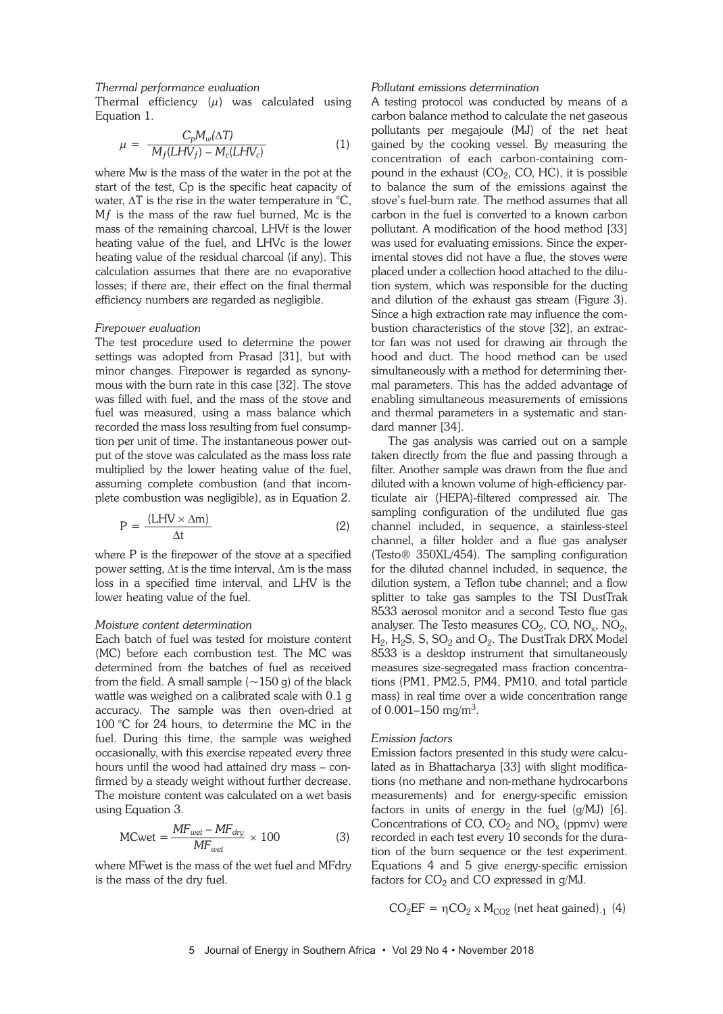### *Thermal performance evaluation*

Thermal efficiency  $(\mu)$  was calculated using Equation 1.

$$
\mu = \frac{C_p M_w(\Delta T)}{M_f (LHV_f) - M_c (LHV_c)}\tag{1}
$$

where Mw is the mass of the water in the pot at the start of the test, Cp is the specific heat capacity of water,  $\Delta T$  is the rise in the water temperature in  ${}^{\circ}C$ , Mƒ is the mass of the raw fuel burned, Mc is the mass of the remaining charcoal, LHVf is the lower heating value of the fuel, and LHVc is the lower heating value of the residual charcoal (if any). This calculation assumes that there are no evaporative losses; if there are, their effect on the final thermal efficiency numbers are regarded as negligible.

#### *Firepower evaluation*

The test procedure used to determine the power settings was adopted from Prasad [31], but with minor changes. Firepower is regarded as synonymous with the burn rate in this case [32]. The stove was filled with fuel, and the mass of the stove and fuel was measured, using a mass balance which recorded the mass loss resulting from fuel consumption per unit of time. The instantaneous power output of the stove was calculated as the mass loss rate multiplied by the lower heating value of the fuel, assuming complete combustion (and that incomplete combustion was negligible), as in Equation 2.

$$
P = \frac{(LHV \times \Delta m)}{\Delta t}
$$
 (2)

where P is the firepower of the stove at a specified power setting,  $\Delta t$  is the time interval,  $\Delta m$  is the mass loss in a specified time interval, and LHV is the lower heating value of the fuel.

#### *Moisture content determination*

Each batch of fuel was tested for moisture content (MC) before each combustion test. The MC was determined from the batches of fuel as received from the field. A small sample  $(-150 g)$  of the black wattle was weighed on a calibrated scale with 0.1 g accuracy. The sample was then oven-dried at 100 °C for 24 hours, to determine the MC in the fuel. During this time, the sample was weighed occasionally, with this exercise repeated every three hours until the wood had attained dry mass – confirmed by a steady weight without further decrease. The moisture content was calculated on a wet basis using Equation 3.

$$
MCwet = \frac{MF_{wet} - MF_{dry}}{MF_{wet}} \times 100
$$
 (3)

where MFwet is the mass of the wet fuel and MFdry is the mass of the dry fuel.

#### *Pollutant emissions determination*

A testing protocol was conducted by means of a carbon balance method to calculate the net gaseous pollutants per megajoule (MJ) of the net heat gained by the cooking vessel. By measuring the concentration of each carbon-containing compound in the exhaust  $(CO_2, CO, HC)$ , it is possible to balance the sum of the emissions against the stove's fuel-burn rate. The method assumes that all carbon in the fuel is converted to a known carbon pollutant. A modification of the hood method [33] was used for evaluating emissions. Since the experimental stoves did not have a flue, the stoves were placed under a collection hood attached to the dilution system, which was responsible for the ducting and dilution of the exhaust gas stream (Figure 3). Since a high extraction rate may influence the combustion characteristics of the stove [32], an extractor fan was not used for drawing air through the hood and duct. The hood method can be used simultaneously with a method for determining thermal parameters. This has the added advantage of enabling simultaneous measurements of emissions and thermal parameters in a systematic and standard manner [34].

The gas analysis was carried out on a sample taken directly from the flue and passing through a filter. Another sample was drawn from the flue and diluted with a known volume of high-efficiency particulate air (HEPA)-filtered compressed air. The sampling configuration of the undiluted flue gas channel included, in sequence, a stainless-steel channel, a filter holder and a flue gas analyser (Testo® 350XL/454). The sampling configuration for the diluted channel included, in sequence, the dilution system, a Teflon tube channel; and a flow splitter to take gas samples to the TSI DustTrak 8533 aerosol monitor and a second Testo flue gas analyser. The Testo measures  $CO<sub>2</sub>$ , CO, NO<sub>x</sub>, NO<sub>2</sub>,  $H_2$ ,  $H_2S$ , S,  $SO_2$  and  $O_2$ . The DustTrak DRX Model 8533 is a desktop instrument that simultaneously measures size-segregated mass fraction concentrations (PM1, PM2.5, PM4, PM10, and total particle mass) in real time over a wide concentration range of  $0.001 - 150$  mg/m<sup>3</sup>.

#### *Emission factors*

Emission factors presented in this study were calculated as in Bhattacharya [33] with slight modifications (no methane and non-methane hydrocarbons measurements) and for energy-specific emission factors in units of energy in the fuel (g/MJ) [6]. Concentrations of CO,  $CO<sub>2</sub>$  and NO<sub>x</sub> (ppmv) were recorded in each test every 10 seconds for the duration of the burn sequence or the test experiment. Equations 4 and 5 give energy-specific emission factors for  $CO<sub>2</sub>$  and CO expressed in g/MJ.

$$
CO_2EF = \eta CO_2 \times M_{CO2} \text{ (net heat gained)}_{-1} \text{ (4)}
$$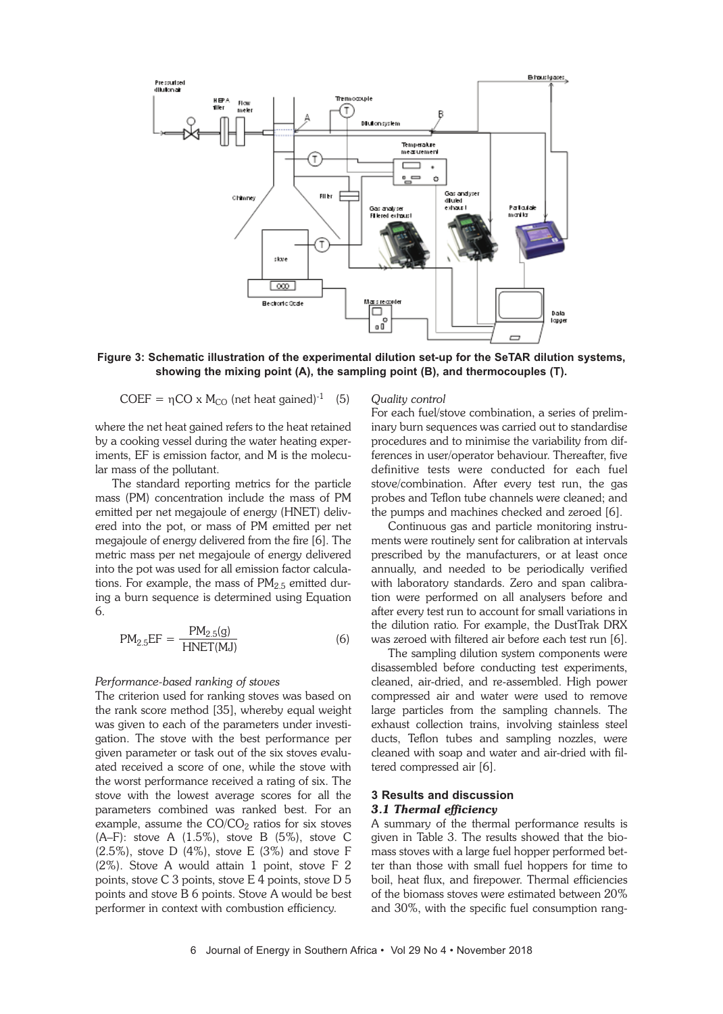

**Figure 3: Schematic illustration of the experimental dilution set-up for the SeTAR dilution systems, showing the mixing point (A), the sampling point (B), and thermocouples (T).**

$$
COEF = \eta CO \times M_{CO} \text{ (net heat gained)}^{-1} \quad (5)
$$

where the net heat gained refers to the heat retained by a cooking vessel during the water heating experiments, EF is emission factor, and M is the molecular mass of the pollutant.

The standard reporting metrics for the particle mass (PM) concentration include the mass of PM emitted per net megajoule of energy (HNET) delivered into the pot, or mass of PM emitted per net megajoule of energy delivered from the fire [6]. The metric mass per net megajoule of energy delivered into the pot was used for all emission factor calculations. For example, the mass of  $PM<sub>2.5</sub>$  emitted during a burn sequence is determined using Equation 6.

$$
PM_{2.5}EF = \frac{PM_{2.5}(g)}{HNET(MJ)}
$$
(6)

#### *Performance-based ranking of stoves*

The criterion used for ranking stoves was based on the rank score method [35], whereby equal weight was given to each of the parameters under investigation. The stove with the best performance per given parameter or task out of the six stoves evaluated received a score of one, while the stove with the worst performance received a rating of six. The stove with the lowest average scores for all the parameters combined was ranked best. For an example, assume the  $CO/CO<sub>2</sub>$  ratios for six stoves (A–F): stove A (1.5%), stove B (5%), stove C (2.5%), stove D (4%), stove E (3%) and stove F (2%). Stove A would attain 1 point, stove F 2 points, stove C 3 points, stove E 4 points, stove D 5 points and stove B 6 points. Stove A would be best performer in context with combustion efficiency.

#### *Quality control*

For each fuel/stove combination, a series of preliminary burn sequences was carried out to standardise procedures and to minimise the variability from differences in user/operator behaviour. Thereafter, five definitive tests were conducted for each fuel stove/combination. After every test run, the gas probes and Teflon tube channels were cleaned; and the pumps and machines checked and zeroed [6].

Continuous gas and particle monitoring instruments were routinely sent for calibration at intervals prescribed by the manufacturers, or at least once annually, and needed to be periodically verified with laboratory standards. Zero and span calibration were performed on all analysers before and after every test run to account for small variations in the dilution ratio. For example, the DustTrak DRX was zeroed with filtered air before each test run [6].

The sampling dilution system components were disassembled before conducting test experiments, cleaned, air-dried, and re-assembled. High power compressed air and water were used to remove large particles from the sampling channels. The exhaust collection trains, involving stainless steel ducts, Teflon tubes and sampling nozzles, were cleaned with soap and water and air-dried with filtered compressed air [6].

# **3 Results and discussion** *3.1 Thermal efficiency*

A summary of the thermal performance results is given in Table 3. The results showed that the biomass stoves with a large fuel hopper performed better than those with small fuel hoppers for time to boil, heat flux, and firepower. Thermal efficiencies of the biomass stoves were estimated between 20% and 30%, with the specific fuel consumption rang-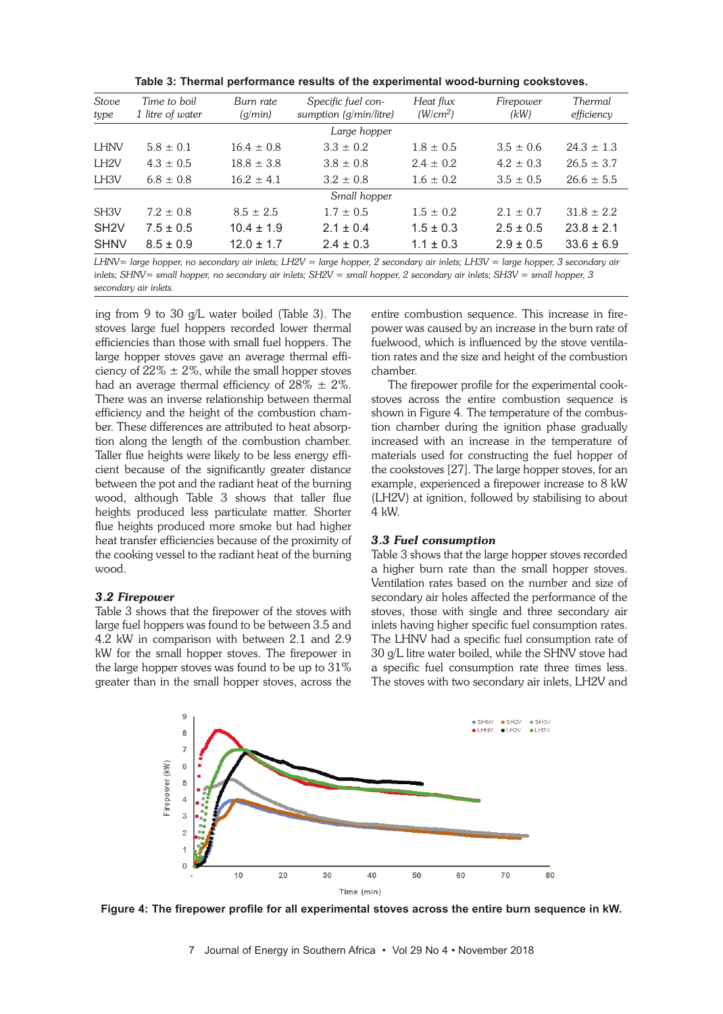| Table 3: Thermal performance results of the experimental wood-burning cookstoves. |  |  |
|-----------------------------------------------------------------------------------|--|--|
|-----------------------------------------------------------------------------------|--|--|

| <b>Stove</b><br>type | Time to boil<br>1 litre of water | Burn rate<br>(g/min) | Specific fuel con-<br>sumption (g/min/litre) | Heat flux<br>(W/cm <sup>2</sup> ) | Firepower<br>(kW) | Thermal<br>efficiency |  |  |
|----------------------|----------------------------------|----------------------|----------------------------------------------|-----------------------------------|-------------------|-----------------------|--|--|
|                      |                                  |                      | Large hopper                                 |                                   |                   |                       |  |  |
| <b>LHNV</b>          | $5.8 \pm 0.1$                    | $16.4 \pm 0.8$       | $3.3 \pm 0.2$                                | $1.8 \pm 0.5$                     | $3.5 \pm 0.6$     | $24.3 \pm 1.3$        |  |  |
| LH <sub>2V</sub>     | $4.3 \pm 0.5$                    | $18.8 \pm 3.8$       | $3.8 \pm 0.8$                                | $2.4 \pm 0.2$                     | $4.2 \pm 0.3$     | $26.5 \pm 3.7$        |  |  |
| LH <sub>3V</sub>     | $6.8 \pm 0.8$                    | $16.2 \pm 4.1$       | $3.2 \pm 0.8$                                | $1.6 \pm 0.2$                     | $3.5 \pm 0.5$     | $26.6 \pm 5.5$        |  |  |
|                      | Small hopper                     |                      |                                              |                                   |                   |                       |  |  |
| SH <sub>3</sub> V    | $7.2 \pm 0.8$                    | $8.5 \pm 2.5$        | $1.7 \pm 0.5$                                | $1.5 \pm 0.2$                     | $2.1 \pm 0.7$     | $31.8 \pm 2.2$        |  |  |
| SH <sub>2</sub> V    | $7.5 \pm 0.5$                    | $10.4 \pm 1.9$       | $2.1 \pm 0.4$                                | $1.5 \pm 0.3$                     | $2.5 \pm 0.5$     | $23.8 \pm 2.1$        |  |  |
| <b>SHNV</b>          | $8.5 \pm 0.9$                    | $12.0 \pm 1.7$       | $2.4 \pm 0.3$                                | $1.1 \pm 0.3$                     | $2.9 \pm 0.5$     | $33.6 \pm 6.9$        |  |  |

LHNV= large hopper, no secondary air inlets; LH2V = large hopper, 2 secondary air inlets; LH3V = large hopper, 3 secondary air inlets; SHNV= small hopper, no secondary air inlets; SH2V = small hopper, 2 secondary air inlets; SH3V = small hopper, 3 *secondary air inlets.*

ing from 9 to 30 g/L water boiled (Table 3). The stoves large fuel hoppers recorded lower thermal efficiencies than those with small fuel hoppers. The large hopper stoves gave an average thermal efficiency of  $22\% \pm 2\%$ , while the small hopper stoves had an average thermal efficiency of  $28\% \pm 2\%$ . There was an inverse relationship between thermal efficiency and the height of the combustion chamber. These differences are attributed to heat absorption along the length of the combustion chamber. Taller flue heights were likely to be less energy efficient because of the significantly greater distance between the pot and the radiant heat of the burning wood, although Table 3 shows that taller flue heights produced less particulate matter. Shorter flue heights produced more smoke but had higher heat transfer efficiencies because of the proximity of the cooking vessel to the radiant heat of the burning wood.

#### *3.2 Firepower*

Table 3 shows that the firepower of the stoves with large fuel hoppers was found to be between 3.5 and 4.2 kW in comparison with between 2.1 and 2.9 kW for the small hopper stoves. The firepower in the large hopper stoves was found to be up to 31% greater than in the small hopper stoves, across the entire combustion sequence. This increase in firepower was caused by an increase in the burn rate of fuelwood, which is influenced by the stove ventilation rates and the size and height of the combustion chamber.

The firepower profile for the experimental cookstoves across the entire combustion sequence is shown in Figure 4. The temperature of the combustion chamber during the ignition phase gradually increased with an increase in the temperature of materials used for constructing the fuel hopper of the cookstoves [27]. The large hopper stoves, for an example, experienced a firepower increase to 8 kW (LH2V) at ignition, followed by stabilising to about 4 kW.

# *3.3 Fuel consumption*

Table 3 shows that the large hopper stoves recorded a higher burn rate than the small hopper stoves. Ventilation rates based on the number and size of secondary air holes affected the performance of the stoves, those with single and three secondary air inlets having higher specific fuel consumption rates. The LHNV had a specific fuel consumption rate of 30 g/L litre water boiled, while the SHNV stove had a specific fuel consumption rate three times less. The stoves with two secondary air inlets, LH2V and



**Figure 4: The firepower profile for all experimental stoves across the entire burn sequence in kW.**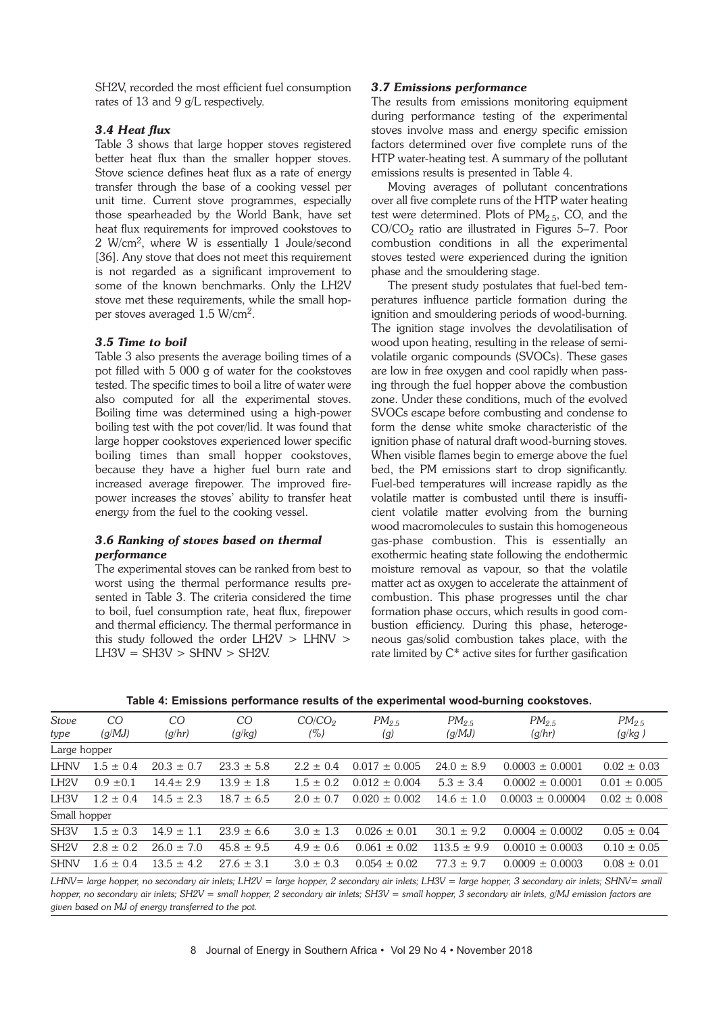SH2V, recorded the most efficient fuel consumption rates of 13 and 9 g/L respectively.

# *3.4 Heat flux*

Table 3 shows that large hopper stoves registered better heat flux than the smaller hopper stoves. Stove science defines heat flux as a rate of energy transfer through the base of a cooking vessel per unit time. Current stove programmes, especially those spearheaded by the World Bank, have set heat flux requirements for improved cookstoves to 2 W/cm2, where W is essentially 1 Joule/second [36]. Any stove that does not meet this requirement is not regarded as a significant improvement to some of the known benchmarks. Only the LH2V stove met these requirements, while the small hopper stoves averaged 1.5 W/cm2.

# *3.5 Time to boil*

Table 3 also presents the average boiling times of a pot filled with 5 000 g of water for the cookstoves tested. The specific times to boil a litre of water were also computed for all the experimental stoves. Boiling time was determined using a high-power boiling test with the pot cover/lid. It was found that large hopper cookstoves experienced lower specific boiling times than small hopper cookstoves, because they have a higher fuel burn rate and increased average firepower. The improved firepower increases the stoves' ability to transfer heat energy from the fuel to the cooking vessel.

# *3.6 Ranking of stoves based on thermal performance*

The experimental stoves can be ranked from best to worst using the thermal performance results presented in Table 3. The criteria considered the time to boil, fuel consumption rate, heat flux, firepower and thermal efficiency. The thermal performance in this study followed the order LH2V > LHNV >  $L$ H3V = SH3V > SHNV > SH2V.

# *3.7 Emissions performance*

The results from emissions monitoring equipment during performance testing of the experimental stoves involve mass and energy specific emission factors determined over five complete runs of the HTP water-heating test. A summary of the pollutant emissions results is presented in Table 4.

Moving averages of pollutant concentrations over all five complete runs of the HTP water heating test were determined. Plots of  $PM<sub>2.5</sub>$ , CO, and the  $CO/CO<sub>2</sub>$  ratio are illustrated in Figures 5–7. Poor combustion conditions in all the experimental stoves tested were experienced during the ignition phase and the smouldering stage.

The present study postulates that fuel-bed temperatures influence particle formation during the ignition and smouldering periods of wood-burning. The ignition stage involves the devolatilisation of wood upon heating, resulting in the release of semivolatile organic compounds (SVOCs). These gases are low in free oxygen and cool rapidly when passing through the fuel hopper above the combustion zone. Under these conditions, much of the evolved SVOCs escape before combusting and condense to form the dense white smoke characteristic of the ignition phase of natural draft wood-burning stoves. When visible flames begin to emerge above the fuel bed, the PM emissions start to drop significantly. Fuel-bed temperatures will increase rapidly as the volatile matter is combusted until there is insufficient volatile matter evolving from the burning wood macromolecules to sustain this homogeneous gas-phase combustion. This is essentially an exothermic heating state following the endothermic moisture removal as vapour, so that the volatile matter act as oxygen to accelerate the attainment of combustion. This phase progresses until the char formation phase occurs, which results in good combustion efficiency. During this phase, heterogeneous gas/solid combustion takes place, with the rate limited by C\* active sites for further gasification

|  |  |  | Table 4: Emissions performance results of the experimental wood-burning cookstoves. |
|--|--|--|-------------------------------------------------------------------------------------|
|--|--|--|-------------------------------------------------------------------------------------|

| Stove             | CO            | CO             | CO             | CO/CO <sub>2</sub> | $PM_{2.5}$        | $PM_{2.5}$      | $PM_{2.5}$           | $PM_{2.5}$       |
|-------------------|---------------|----------------|----------------|--------------------|-------------------|-----------------|----------------------|------------------|
| type              | (q/MJ)        | (g/hr)         | (g/kg)         | (%)                | (g)               | (g/MJ)          | (g/hr)               | (g/kg)           |
| Large hopper      |               |                |                |                    |                   |                 |                      |                  |
| <b>LHNV</b>       | $1.5 \pm 0.4$ | $20.3 \pm 0.7$ | $23.3 \pm 5.8$ | $2.2 \pm 0.4$      | $0.017 \pm 0.005$ | $24.0 \pm 8.9$  | $0.0003 \pm 0.0001$  | $0.02 \pm 0.03$  |
| LH <sub>2V</sub>  | $0.9 \pm 0.1$ | $14.4 \pm 2.9$ | $13.9 \pm 1.8$ | $1.5 \pm 0.2$      | $0.012 \pm 0.004$ | $5.3 \pm 3.4$   | $0.0002 \pm 0.0001$  | $0.01 \pm 0.005$ |
| LH <sub>3V</sub>  | $1.2 \pm 0.4$ | $14.5 + 2.3$   | $18.7 + 6.5$   | $2.0 + 0.7$        | $0.020 \pm 0.002$ | $14.6 \pm 1.0$  | $0.0003 \pm 0.00004$ | $0.02 \pm 0.008$ |
| Small hopper      |               |                |                |                    |                   |                 |                      |                  |
| SH <sub>3</sub> V | $1.5 \pm 0.3$ | $14.9 \pm 1.1$ | $23.9 \pm 6.6$ | $3.0 \pm 1.3$      | $0.026 \pm 0.01$  | $30.1 \pm 9.2$  | $0.0004 \pm 0.0002$  | $0.05 \pm 0.04$  |
| SH <sub>2V</sub>  | $2.8 \pm 0.2$ | $26.0 \pm 7.0$ | $45.8 \pm 9.5$ | $4.9 \pm 0.6$      | $0.061 \pm 0.02$  | $113.5 \pm 9.9$ | $0.0010 \pm 0.0003$  | $0.10 \pm 0.05$  |
| <b>SHNV</b>       | $1.6 \pm 0.4$ | $13.5 \pm 4.2$ | $27.6 \pm 3.1$ | $3.0 \pm 0.3$      | $0.054 \pm 0.02$  | $77.3 \pm 9.7$  | $0.0009 \pm 0.0003$  | $0.08 \pm 0.01$  |
|                   |               |                |                |                    |                   |                 |                      |                  |

LHNV= large hopper, no secondary air inlets; LH2V = large hopper, 2 secondary air inlets; LH3V = large hopper, 3 secondary air inlets; SHNV= small hopper, no secondary air inlets; SH2V = small hopper, 2 secondary air inlets; SH3V = small hopper, 3 secondary air inlets, g/MJ emission factors are *given based on MJ of energy transferred to the pot.*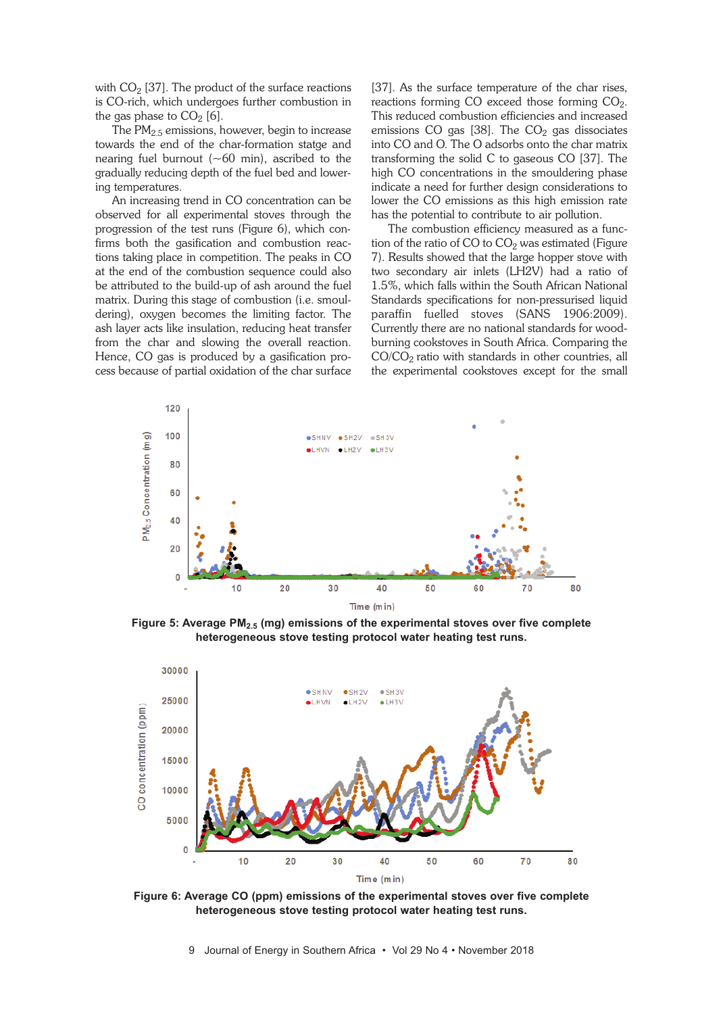with  $CO<sub>2</sub>$  [37]. The product of the surface reactions is CO-rich, which undergoes further combustion in the gas phase to  $CO<sub>2</sub>$  [6].

The  $PM_{2.5}$  emissions, however, begin to increase towards the end of the char-formation statge and nearing fuel burnout  $(-60 \text{ min})$ , ascribed to the gradually reducing depth of the fuel bed and lowering temperatures.

An increasing trend in CO concentration can be observed for all experimental stoves through the progression of the test runs (Figure 6), which confirms both the gasification and combustion reactions taking place in competition. The peaks in CO at the end of the combustion sequence could also be attributed to the build-up of ash around the fuel matrix. During this stage of combustion (i.e. smouldering), oxygen becomes the limiting factor. The ash layer acts like insulation, reducing heat transfer from the char and slowing the overall reaction. Hence, CO gas is produced by a gasification process because of partial oxidation of the char surface [37]. As the surface temperature of the char rises, reactions forming  $CO$  exceed those forming  $CO<sub>2</sub>$ . This reduced combustion efficiencies and increased emissions CO gas [38]. The  $CO<sub>2</sub>$  gas dissociates into CO and O. The O adsorbs onto the char matrix transforming the solid C to gaseous CO [37]. The high CO concentrations in the smouldering phase indicate a need for further design considerations to lower the CO emissions as this high emission rate has the potential to contribute to air pollution.

The combustion efficiency measured as a function of the ratio of CO to  $CO<sub>2</sub>$  was estimated (Figure 7). Results showed that the large hopper stove with two secondary air inlets (LH2V) had a ratio of 1.5%, which falls within the South African National Standards specifications for non-pressurised liquid paraffin fuelled stoves (SANS 1906:2009). Currently there are no national standards for woodburning cookstoves in South Africa. Comparing the  $CO/CO<sub>2</sub>$  ratio with standards in other countries, all the experimental cookstoves except for the small



**Figure 5: Average PM2.5 (mg) emissions of the experimental stoves over five complete heterogeneous stove testing protocol water heating test runs.**



**Figure 6: Average CO (ppm) emissions of the experimental stoves over five complete heterogeneous stove testing protocol water heating test runs.**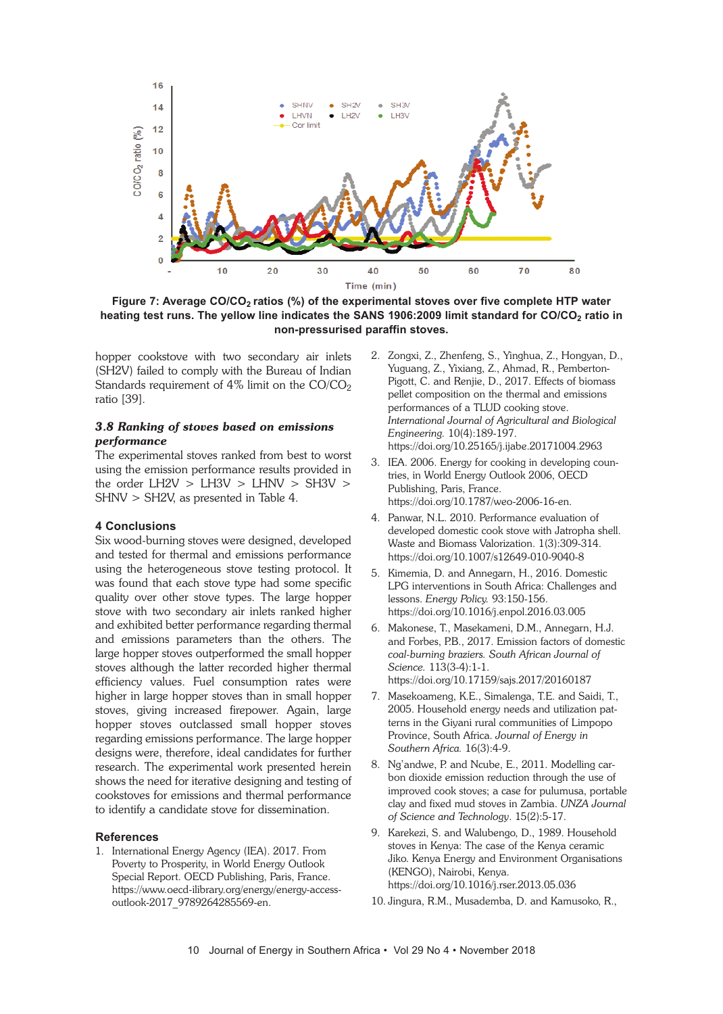

**Figure 7: Average CO/CO2 ratios (%) of the experimental stoves over five complete HTP water heating test runs. The yellow line indicates the SANS 1906:2009 limit standard for CO/CO2 ratio in non-pressurised paraffin stoves.**

hopper cookstove with two secondary air inlets (SH2V) failed to comply with the Bureau of Indian Standards requirement of  $4\%$  limit on the CO/CO<sub>2</sub> ratio [39].

# *3.8 Ranking of stoves based on emissions performance*

The experimental stoves ranked from best to worst using the emission performance results provided in the order  $L$ H2V >  $L$ H3V >  $L$ HNV > SH3V > SHNV > SH2V, as presented in Table 4.

# **4 Conclusions**

Six wood-burning stoves were designed, developed and tested for thermal and emissions performance using the heterogeneous stove testing protocol. It was found that each stove type had some specific quality over other stove types. The large hopper stove with two secondary air inlets ranked higher and exhibited better performance regarding thermal and emissions parameters than the others. The large hopper stoves outperformed the small hopper stoves although the latter recorded higher thermal efficiency values. Fuel consumption rates were higher in large hopper stoves than in small hopper stoves, giving increased firepower. Again, large hopper stoves outclassed small hopper stoves regarding emissions performance. The large hopper designs were, therefore, ideal candidates for further research. The experimental work presented herein shows the need for iterative designing and testing of cookstoves for emissions and thermal performance to identify a candidate stove for dissemination.

#### **References**

1. International Energy Agency (IEA). 2017. From Poverty to Prosperity, in World Energy Outlook Special Report. OECD Publishing, Paris, France. https://www.oecd-ilibrary.org/energy/energy-accessoutlook-2017\_9789264285569-en.

- 2. Zongxi, Z., Zhenfeng, S., Yinghua, Z., Hongyan, D., Yuguang, Z., Yixiang, Z., Ahmad, R., Pemberton-Pigott, C. and Renjie, D., 2017. Effects of biomass pellet composition on the thermal and emissions performances of a TLUD cooking stove. *International Journal of Agricultural and Biological Engineering.* 10(4):189-197. https://doi.org/10.25165/j.ijabe.20171004.2963
- 3. IEA. 2006. Energy for cooking in developing countries, in World Energy Outlook 2006, OECD Publishing, Paris, France. https://doi.org/10.1787/weo-2006-16-en.
- 4. Panwar, N.L. 2010. Performance evaluation of developed domestic cook stove with Jatropha shell. Waste and Biomass Valorization. 1(3):309-314. https://doi.org/10.1007/s12649-010-9040-8
- 5. Kimemia, D. and Annegarn, H., 2016. Domestic LPG interventions in South Africa: Challenges and lessons. *Energy Policy.* 93:150-156. https://doi.org/10.1016/j.enpol.2016.03.005
- 6. Makonese, T., Masekameni, D.M., Annegarn, H.J. and Forbes, P.B., 2017. Emission factors of domestic *coal-burning braziers. South African Journal of Science.* 113(3-4):1-1. https://doi.org/10.17159/sajs.2017/20160187
- 7. Masekoameng, K.E., Simalenga, T.E. and Saidi, T., 2005. Household energy needs and utilization patterns in the Giyani rural communities of Limpopo Province, South Africa. *Journal of Energy in Southern Africa.* 16(3):4-9.
- 8. Ng'andwe, P. and Ncube, E., 2011. Modelling carbon dioxide emission reduction through the use of improved cook stoves; a case for pulumusa, portable clay and fixed mud stoves in Zambia. *UNZA Journal of Science and Technology*. 15(2):5-17.
- 9. Karekezi, S. and Walubengo, D., 1989. Household stoves in Kenya: The case of the Kenya ceramic Jiko. Kenya Energy and Environment Organisations (KENGO), Nairobi, Kenya. https://doi.org/10.1016/j.rser.2013.05.036
- 10. Jingura, R.M., Musademba, D. and Kamusoko, R.,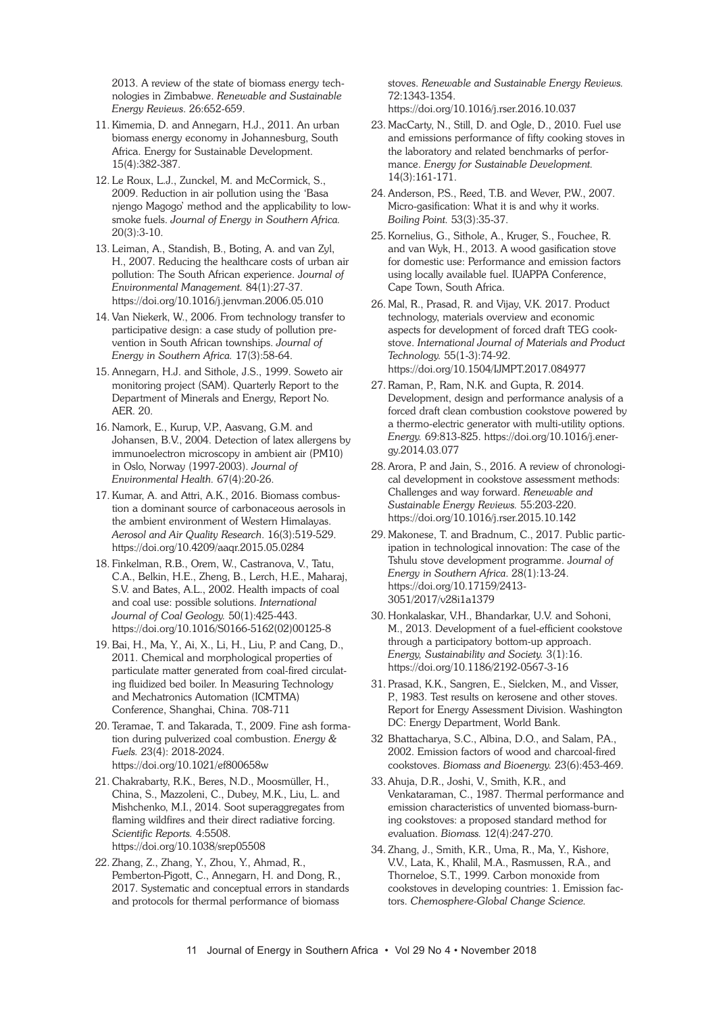2013. A review of the state of biomass energy technologies in Zimbabwe. *Renewable and Sustainable Energy Reviews*. 26:652-659.

- 11. Kimemia, D. and Annegarn, H.J., 2011. An urban biomass energy economy in Johannesburg, South Africa. Energy for Sustainable Development. 15(4):382-387.
- 12. Le Roux, L.J., Zunckel, M. and McCormick, S., 2009. Reduction in air pollution using the 'Basa njengo Magogo' method and the applicability to lowsmoke fuels. *Journal of Energy in Southern Africa.* 20(3):3-10.
- 13. Leiman, A., Standish, B., Boting, A. and van Zyl, H., 2007. Reducing the healthcare costs of urban air pollution: The South African experience. J*ournal of Environmental Management.* 84(1):27-37. https://doi.org/10.1016/j.jenvman.2006.05.010
- 14. Van Niekerk, W., 2006. From technology transfer to participative design: a case study of pollution prevention in South African townships. *Journal of Energy in Southern Africa.* 17(3):58-64.
- 15. Annegarn, H.J. and Sithole, J.S., 1999. Soweto air monitoring project (SAM). Quarterly Report to the Department of Minerals and Energy, Report No. AER. 20.
- 16. Namork, E., Kurup, V.P., Aasvang, G.M. and Johansen, B.V., 2004. Detection of latex allergens by immunoelectron microscopy in ambient air (PM10) in Oslo, Norway (1997-2003). *Journal of Environmental Health.* 67(4):20-26.
- 17. Kumar, A. and Attri, A.K., 2016. Biomass combustion a dominant source of carbonaceous aerosols in the ambient environment of Western Himalayas. *Aerosol and Air Quality Research*. 16(3):519-529. https://doi.org/10.4209/aaqr.2015.05.0284
- 18. Finkelman, R.B., Orem, W., Castranova, V., Tatu, C.A., Belkin, H.E., Zheng, B., Lerch, H.E., Maharaj, S.V. and Bates, A.L., 2002. Health impacts of coal and coal use: possible solutions. *International Journal of Coal Geology.* 50(1):425-443. https://doi.org/10.1016/S0166-5162(02)00125-8
- 19. Bai, H., Ma, Y., Ai, X., Li, H., Liu, P. and Cang, D., 2011. Chemical and morphological properties of particulate matter generated from coal-fired circulating fluidized bed boiler. In Measuring Technology and Mechatronics Automation (ICMTMA) Conference, Shanghai, China. 708-711
- 20. Teramae, T. and Takarada, T., 2009. Fine ash formation during pulverized coal combustion. *Energy & Fuels.* 23(4): 2018-2024. https://doi.org/10.1021/ef800658w
- 21. Chakrabarty, R.K., Beres, N.D., Moosmüller, H., China, S., Mazzoleni, C., Dubey, M.K., Liu, L. and Mishchenko, M.I., 2014. Soot superaggregates from flaming wildfires and their direct radiative forcing. *Scientific Reports.* 4:5508. https://doi.org/10.1038/srep05508
- 22. Zhang, Z., Zhang, Y., Zhou, Y., Ahmad, R., Pemberton-Pigott, C., Annegarn, H. and Dong, R., 2017. Systematic and conceptual errors in standards and protocols for thermal performance of biomass

stoves. *Renewable and Sustainable Energy Reviews.* 72:1343-1354.

- https://doi.org/10.1016/j.rser.2016.10.037
- 23. MacCarty, N., Still, D. and Ogle, D., 2010. Fuel use and emissions performance of fifty cooking stoves in the laboratory and related benchmarks of performance. *Energy for Sustainable Development.* 14(3):161-171.
- 24. Anderson, P.S., Reed, T.B. and Wever, P.W., 2007. Micro-gasification: What it is and why it works. *Boiling Point.* 53(3):35-37.
- 25. Kornelius, G., Sithole, A., Kruger, S., Fouchee, R. and van Wyk, H., 2013. A wood gasification stove for domestic use: Performance and emission factors using locally available fuel. IUAPPA Conference, Cape Town, South Africa.
- 26. Mal, R., Prasad, R. and Vijay, V.K. 2017. Product technology, materials overview and economic aspects for development of forced draft TEG cookstove. *International Journal of Materials and Product Technology.* 55(1-3):74-92. https://doi.org/10.1504/IJMPT.2017.084977
- 27. Raman, P., Ram, N.K. and Gupta, R. 2014. Development, design and performance analysis of a forced draft clean combustion cookstove powered by a thermo-electric generator with multi-utility options. *Energy.* 69:813-825. https://doi.org/10.1016/j.energy.2014.03.077
- 28. Arora, P. and Jain, S., 2016. A review of chronological development in cookstove assessment methods: Challenges and way forward. *Renewable and Sustainable Energy Reviews.* 55:203-220. https://doi.org/10.1016/j.rser.2015.10.142
- 29. Makonese, T. and Bradnum, C., 2017. Public participation in technological innovation: The case of the Tshulu stove development programme. J*ournal of Energy in Southern Africa*. 28(1):13-24. https://doi.org/10.17159/2413- 3051/2017/v28i1a1379
- 30. Honkalaskar, V.H., Bhandarkar, U.V. and Sohoni, M., 2013. Development of a fuel-efficient cookstove through a participatory bottom-up approach. *Energy, Sustainability and Society.* 3(1):16. https://doi.org/10.1186/2192-0567-3-16
- 31. Prasad, K.K., Sangren, E., Sielcken, M., and Visser, P., 1983. Test results on kerosene and other stoves. Report for Energy Assessment Division. Washington DC: Energy Department, World Bank.
- 32 Bhattacharya, S.C., Albina, D.O., and Salam, P.A., 2002. Emission factors of wood and charcoal-fired cookstoves. *Biomass and Bioenergy.* 23(6):453-469.
- 33. Ahuja, D.R., Joshi, V., Smith, K.R., and Venkataraman, C., 1987. Thermal performance and emission characteristics of unvented biomass-burning cookstoves: a proposed standard method for evaluation. *Biomass.* 12(4):247-270.
- 34. Zhang, J., Smith, K.R., Uma, R., Ma, Y., Kishore, V.V., Lata, K., Khalil, M.A., Rasmussen, R.A., and Thorneloe, S.T., 1999. Carbon monoxide from cookstoves in developing countries: 1. Emission factors. *Chemosphere-Global Change Science.*